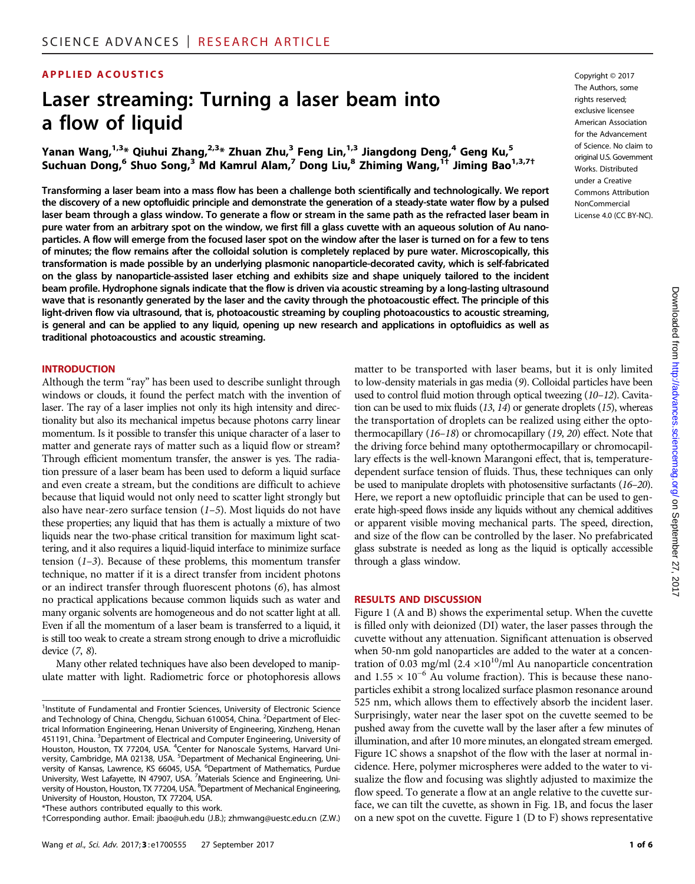## APPLIED ACOUSTICS Copyright © 2017

# Laser streaming: Turning a laser beam into a flow of liquid

Yanan Wang,<sup>1,3\*</sup> Qiuhui Zhang,<sup>2,3\*</sup> Zhuan Zhu,<sup>3</sup> Feng Lin,<sup>1,3</sup> Jiangdong Deng,<sup>4</sup> Geng Ku,<sup>5</sup> Suchuan Dong,<sup>6</sup> Shuo Song,<sup>3</sup> Md Kamrul Alam,<sup>7</sup> Dong Liu,<sup>8</sup> Zhiming Wang,<sup>1†</sup> Jiming Bao<sup>1,3,7†</sup>

Transforming a laser beam into a mass flow has been a challenge both scientifically and technologically. We report the discovery of a new optofluidic principle and demonstrate the generation of a steady-state water flow by a pulsed laser beam through a glass window. To generate a flow or stream in the same path as the refracted laser beam in pure water from an arbitrary spot on the window, we first fill a glass cuvette with an aqueous solution of Au nanoparticles. A flow will emerge from the focused laser spot on the window after the laser is turned on for a few to tens of minutes; the flow remains after the colloidal solution is completely replaced by pure water. Microscopically, this transformation is made possible by an underlying plasmonic nanoparticle-decorated cavity, which is self-fabricated on the glass by nanoparticle-assisted laser etching and exhibits size and shape uniquely tailored to the incident beam profile. Hydrophone signals indicate that the flow is driven via acoustic streaming by a long-lasting ultrasound wave that is resonantly generated by the laser and the cavity through the photoacoustic effect. The principle of this light-driven flow via ultrasound, that is, photoacoustic streaming by coupling photoacoustics to acoustic streaming, is general and can be applied to any liquid, opening up new research and applications in optofluidics as well as traditional photoacoustics and acoustic streaming.

**INTRODUCTION** 

Although the term "ray" has been used to describe sunlight through windows or clouds, it found the perfect match with the invention of laser. The ray of a laser implies not only its high intensity and directionality but also its mechanical impetus because photons carry linear momentum. Is it possible to transfer this unique character of a laser to matter and generate rays of matter such as a liquid flow or stream? Through efficient momentum transfer, the answer is yes. The radiation pressure of a laser beam has been used to deform a liquid surface and even create a stream, but the conditions are difficult to achieve because that liquid would not only need to scatter light strongly but also have near-zero surface tension  $(1-5)$ . Most liquids do not have these properties; any liquid that has them is actually a mixture of two liquids near the two-phase critical transition for maximum light scattering, and it also requires a liquid-liquid interface to minimize surface tension (1–3). Because of these problems, this momentum transfer technique, no matter if it is a direct transfer from incident photons or an indirect transfer through fluorescent photons (6), has almost no practical applications because common liquids such as water and many organic solvents are homogeneous and do not scatter light at all. Even if all the momentum of a laser beam is transferred to a liquid, it is still too weak to create a stream strong enough to drive a microfluidic device (7, 8).

Many other related techniques have also been developed to manipulate matter with light. Radiometric force or photophoresis allows The Authors, some rights reserved; exclusive licensee American Association for the Advancement of Science. No claim to original U.S. Government Works. Distributed under a Creative Commons Attribution NonCommercial License 4.0 (CC BY-NC).

matter to be transported with laser beams, but it is only limited to low-density materials in gas media (9). Colloidal particles have been used to control fluid motion through optical tweezing (10-12). Cavitation can be used to mix fluids (13, 14) or generate droplets (15), whereas the transportation of droplets can be realized using either the optothermocapillary (16–18) or chromocapillary (19, 20) effect. Note that the driving force behind many optothermocapillary or chromocapillary effects is the well-known Marangoni effect, that is, temperaturedependent surface tension of fluids. Thus, these techniques can only be used to manipulate droplets with photosensitive surfactants (16–20). Here, we report a new optofluidic principle that can be used to generate high-speed flows inside any liquids without any chemical additives or apparent visible moving mechanical parts. The speed, direction, and size of the flow can be controlled by the laser. No prefabricated glass substrate is needed as long as the liquid is optically accessible through a glass window.

#### RESULTS AND DISCUSSION

Figure 1 (A and B) shows the experimental setup. When the cuvette is filled only with deionized (DI) water, the laser passes through the cuvette without any attenuation. Significant attenuation is observed when 50-nm gold nanoparticles are added to the water at a concentration of 0.03 mg/ml  $(2.4 \times 10^{10} \text{/m}$  Au nanoparticle concentration and  $1.55 \times 10^{-6}$  Au volume fraction). This is because these nanoparticles exhibit a strong localized surface plasmon resonance around 525 nm, which allows them to effectively absorb the incident laser. Surprisingly, water near the laser spot on the cuvette seemed to be pushed away from the cuvette wall by the laser after a few minutes of illumination, and after 10 more minutes, an elongated stream emerged. Figure 1C shows a snapshot of the flow with the laser at normal incidence. Here, polymer microspheres were added to the water to visualize the flow and focusing was slightly adjusted to maximize the flow speed. To generate a flow at an angle relative to the cuvette surface, we can tilt the cuvette, as shown in Fig. 1B, and focus the laser on a new spot on the cuvette. Figure 1 (D to F) shows representative

<sup>&</sup>lt;sup>1</sup>Institute of Fundamental and Frontier Sciences, University of Electronic Science and Technology of China, Chengdu, Sichuan 610054, China. <sup>2</sup>Department of Electrical Information Engineering, Henan University of Engineering, Xinzheng, Henan 451191, China. <sup>3</sup>Department of Electrical and Computer Engineering, University of Houston, Houston, TX 77204, USA. <sup>4</sup>Center for Nanoscale Systems, Harvard University, Cambridge, MA 02138, USA. <sup>5</sup>Department of Mechanical Engineering, University of Kansas, Lawrence, KS 66045, USA. <sup>6</sup>Department of Mathematics, Purdue University, West Lafayette, IN 47907, USA. <sup>7</sup>Materials Science and Engineering, University of Houston, Houston, TX 77204, USA. <sup>8</sup>Department of Mechanical Engineering, University of Houston, Houston, TX 77204, USA.

<sup>\*</sup>These authors contributed equally to this work.

<sup>†</sup>Corresponding author. Email: jbao@uh.edu (J.B.); zhmwang@uestc.edu.cn (Z.W.)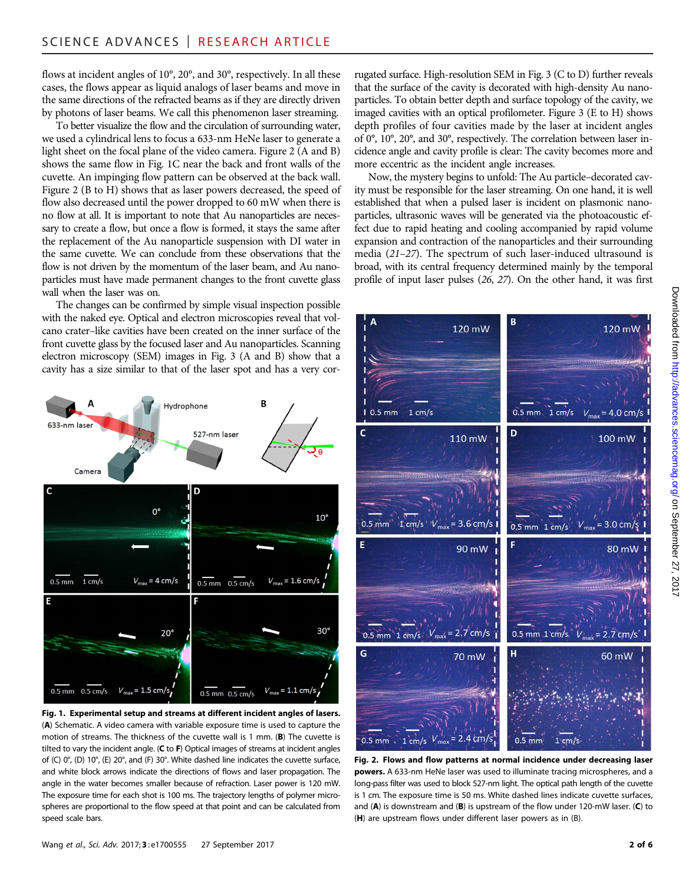flows at incident angles of 10°, 20°, and 30°, respectively. In all these cases, the flows appear as liquid analogs of laser beams and move in the same directions of the refracted beams as if they are directly driven by photons of laser beams. We call this phenomenon laser streaming.

To better visualize the flow and the circulation of surrounding water, we used a cylindrical lens to focus a 633-nm HeNe laser to generate a light sheet on the focal plane of the video camera. Figure 2 (A and B) shows the same flow in Fig. 1C near the back and front walls of the cuvette. An impinging flow pattern can be observed at the back wall. Figure 2 (B to H) shows that as laser powers decreased, the speed of flow also decreased until the power dropped to 60 mW when there is no flow at all. It is important to note that Au nanoparticles are necessary to create a flow, but once a flow is formed, it stays the same after the replacement of the Au nanoparticle suspension with DI water in the same cuvette. We can conclude from these observations that the flow is not driven by the momentum of the laser beam, and Au nanoparticles must have made permanent changes to the front cuvette glass wall when the laser was on.

The changes can be confirmed by simple visual inspection possible with the naked eye. Optical and electron microscopies reveal that volcano crater–like cavities have been created on the inner surface of the front cuvette glass by the focused laser and Au nanoparticles. Scanning electron microscopy (SEM) images in Fig. 3 (A and B) show that a cavity has a size similar to that of the laser spot and has a very cor-

B Hydrophone 633-nm laser 527-nm laser Camera n  $\mathbf{0}^{\mathsf{c}}$  $10^{\circ}$  $V_{\text{max}}$  = 1.6 cm/s  $\frac{1}{1}$  cm/s  $V_{\text{max}} = 4 \text{ cm/s}$  $0.5$  mm  $0.5$  mm  $0.5$  cm/s г  $30^{\circ}$  $20<sup>°</sup>$  $V_{\text{max}}$  = 1.5 cm/s  $V_{\rm max}$  = 1.1 cm/s 0.5 mm 0.5 cm/s  $0.5$  mm  $0.5$  cm/s

Fig. 1. Experimental setup and streams at different incident angles of lasers. (A) Schematic. A video camera with variable exposure time is used to capture the motion of streams. The thickness of the cuvette wall is 1 mm. (B) The cuvette is tilted to vary the incident angle.  $(C \text{ to } F)$  Optical images of streams at incident angles of (C) 0°, (D) 10°, (E) 20°, and (F) 30°. White dashed line indicates the cuvette surface, and white block arrows indicate the directions of flows and laser propagation. The angle in the water becomes smaller because of refraction. Laser power is 120 mW. The exposure time for each shot is 100 ms. The trajectory lengths of polymer microspheres are proportional to the flow speed at that point and can be calculated from speed scale bars.

rugated surface. High-resolution SEM in Fig. 3 (C to D) further reveals that the surface of the cavity is decorated with high-density Au nanoparticles. To obtain better depth and surface topology of the cavity, we imaged cavities with an optical profilometer. Figure 3 (E to H) shows depth profiles of four cavities made by the laser at incident angles of 0°, 10°, 20°, and 30°, respectively. The correlation between laser incidence angle and cavity profile is clear: The cavity becomes more and more eccentric as the incident angle increases.

Now, the mystery begins to unfold: The Au particle–decorated cavity must be responsible for the laser streaming. On one hand, it is well established that when a pulsed laser is incident on plasmonic nanoparticles, ultrasonic waves will be generated via the photoacoustic effect due to rapid heating and cooling accompanied by rapid volume expansion and contraction of the nanoparticles and their surrounding media (21–27). The spectrum of such laser-induced ultrasound is broad, with its central frequency determined mainly by the temporal profile of input laser pulses (26, 27). On the other hand, it was first



Fig. 2. Flows and flow patterns at normal incidence under decreasing laser powers. A 633-nm HeNe laser was used to illuminate tracing microspheres, and a long-pass filter was used to block 527-nm light. The optical path length of the cuvette is 1 cm. The exposure time is 50 ms. White dashed lines indicate cuvette surfaces, and  $(A)$  is downstream and  $(B)$  is upstream of the flow under 120-mW laser.  $(C)$  to (H) are upstream flows under different laser powers as in (B).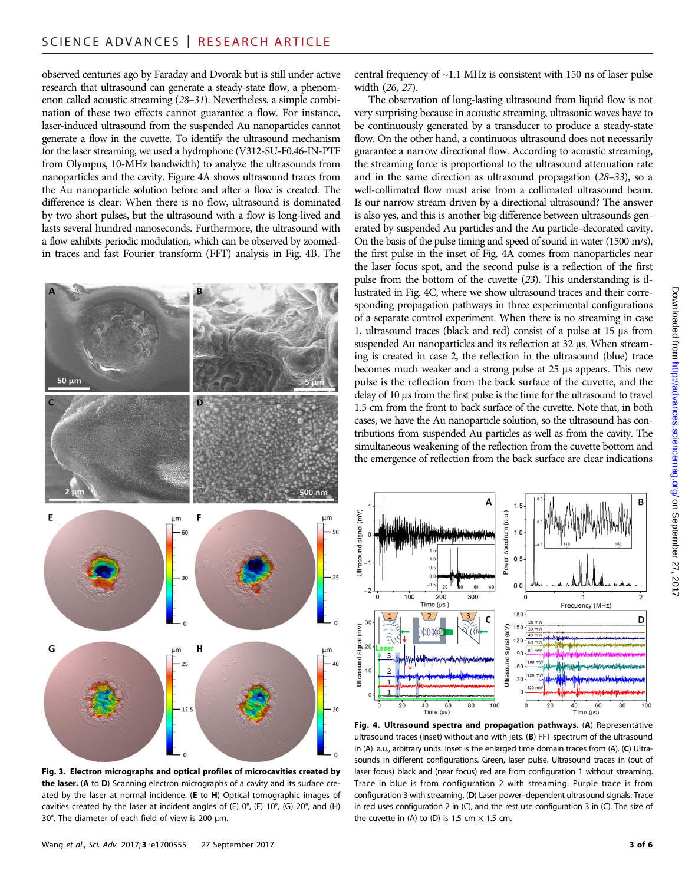observed centuries ago by Faraday and Dvorak but is still under active research that ultrasound can generate a steady-state flow, a phenomenon called acoustic streaming (28–31). Nevertheless, a simple combination of these two effects cannot guarantee a flow. For instance, laser-induced ultrasound from the suspended Au nanoparticles cannot generate a flow in the cuvette. To identify the ultrasound mechanism for the laser streaming, we used a hydrophone (V312-SU-F0.46-IN-PTF from Olympus, 10-MHz bandwidth) to analyze the ultrasounds from nanoparticles and the cavity. Figure 4A shows ultrasound traces from the Au nanoparticle solution before and after a flow is created. The difference is clear: When there is no flow, ultrasound is dominated by two short pulses, but the ultrasound with a flow is long-lived and lasts several hundred nanoseconds. Furthermore, the ultrasound with a flow exhibits periodic modulation, which can be observed by zoomedin traces and fast Fourier transform (FFT) analysis in Fig. 4B. The



Fig. 3. Electron micrographs and optical profiles of microcavities created by the laser. (A to D) Scanning electron micrographs of a cavity and its surface created by the laser at normal incidence. (E to H) Optical tomographic images of cavities created by the laser at incident angles of (E)  $0^{\circ}$ , (F)  $10^{\circ}$ , (G)  $20^{\circ}$ , and (H) 30°. The diameter of each field of view is 200 µm.

central frequency of ~1.1 MHz is consistent with 150 ns of laser pulse width (26, 27).

The observation of long-lasting ultrasound from liquid flow is not very surprising because in acoustic streaming, ultrasonic waves have to be continuously generated by a transducer to produce a steady-state flow. On the other hand, a continuous ultrasound does not necessarily guarantee a narrow directional flow. According to acoustic streaming, the streaming force is proportional to the ultrasound attenuation rate and in the same direction as ultrasound propagation (28–33), so a well-collimated flow must arise from a collimated ultrasound beam. Is our narrow stream driven by a directional ultrasound? The answer is also yes, and this is another big difference between ultrasounds generated by suspended Au particles and the Au particle–decorated cavity. On the basis of the pulse timing and speed of sound in water (1500 m/s), the first pulse in the inset of Fig. 4A comes from nanoparticles near the laser focus spot, and the second pulse is a reflection of the first pulse from the bottom of the cuvette (23). This understanding is illustrated in Fig. 4C, where we show ultrasound traces and their corresponding propagation pathways in three experimental configurations of a separate control experiment. When there is no streaming in case 1, ultrasound traces (black and red) consist of a pulse at  $15 \mu s$  from suspended Au nanoparticles and its reflection at 32 µs. When streaming is created in case 2, the reflection in the ultrasound (blue) trace becomes much weaker and a strong pulse at 25 µs appears. This new pulse is the reflection from the back surface of the cuvette, and the delay of 10 µs from the first pulse is the time for the ultrasound to travel 1.5 cm from the front to back surface of the cuvette. Note that, in both cases, we have the Au nanoparticle solution, so the ultrasound has contributions from suspended Au particles as well as from the cavity. The simultaneous weakening of the reflection from the cuvette bottom and the emergence of reflection from the back surface are clear indications



Fig. 4. Ultrasound spectra and propagation pathways. (A) Representative ultrasound traces (inset) without and with jets. (B) FFT spectrum of the ultrasound in (A). a.u., arbitrary units. Inset is the enlarged time domain traces from (A). (C) Ultrasounds in different configurations. Green, laser pulse. Ultrasound traces in (out of laser focus) black and (near focus) red are from configuration 1 without streaming. Trace in blue is from configuration 2 with streaming. Purple trace is from configuration 3 with streaming. (D) Laser power–dependent ultrasound signals. Trace in red uses configuration 2 in (C), and the rest use configuration 3 in (C). The size of the cuvette in (A) to (D) is 1.5 cm  $\times$  1.5 cm.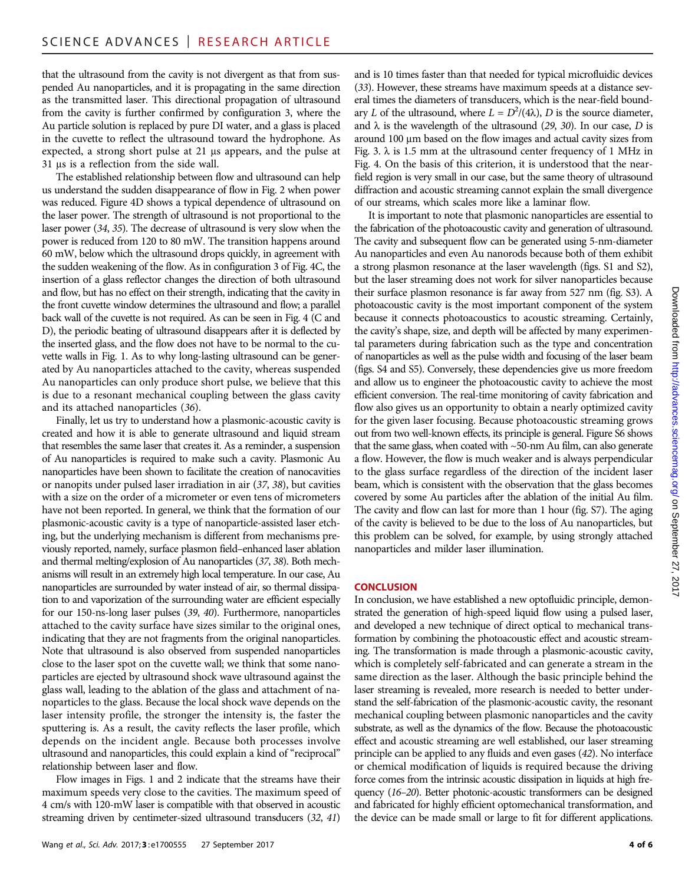that the ultrasound from the cavity is not divergent as that from suspended Au nanoparticles, and it is propagating in the same direction as the transmitted laser. This directional propagation of ultrasound from the cavity is further confirmed by configuration 3, where the Au particle solution is replaced by pure DI water, and a glass is placed in the cuvette to reflect the ultrasound toward the hydrophone. As expected, a strong short pulse at 21 µs appears, and the pulse at 31 µs is a reflection from the side wall.

The established relationship between flow and ultrasound can help us understand the sudden disappearance of flow in Fig. 2 when power was reduced. Figure 4D shows a typical dependence of ultrasound on the laser power. The strength of ultrasound is not proportional to the laser power (34, 35). The decrease of ultrasound is very slow when the power is reduced from 120 to 80 mW. The transition happens around 60 mW, below which the ultrasound drops quickly, in agreement with the sudden weakening of the flow. As in configuration 3 of Fig. 4C, the insertion of a glass reflector changes the direction of both ultrasound and flow, but has no effect on their strength, indicating that the cavity in the front cuvette window determines the ultrasound and flow; a parallel back wall of the cuvette is not required. As can be seen in Fig. 4 (C and D), the periodic beating of ultrasound disappears after it is deflected by the inserted glass, and the flow does not have to be normal to the cuvette walls in Fig. 1. As to why long-lasting ultrasound can be generated by Au nanoparticles attached to the cavity, whereas suspended Au nanoparticles can only produce short pulse, we believe that this is due to a resonant mechanical coupling between the glass cavity and its attached nanoparticles (36).

Finally, let us try to understand how a plasmonic-acoustic cavity is created and how it is able to generate ultrasound and liquid stream that resembles the same laser that creates it. As a reminder, a suspension of Au nanoparticles is required to make such a cavity. Plasmonic Au nanoparticles have been shown to facilitate the creation of nanocavities or nanopits under pulsed laser irradiation in air (37, 38), but cavities with a size on the order of a micrometer or even tens of micrometers have not been reported. In general, we think that the formation of our plasmonic-acoustic cavity is a type of nanoparticle-assisted laser etching, but the underlying mechanism is different from mechanisms previously reported, namely, surface plasmon field–enhanced laser ablation and thermal melting/explosion of Au nanoparticles (37, 38). Both mechanisms will result in an extremely high local temperature. In our case, Au nanoparticles are surrounded by water instead of air, so thermal dissipation to and vaporization of the surrounding water are efficient especially for our 150-ns-long laser pulses (39, 40). Furthermore, nanoparticles attached to the cavity surface have sizes similar to the original ones, indicating that they are not fragments from the original nanoparticles. Note that ultrasound is also observed from suspended nanoparticles close to the laser spot on the cuvette wall; we think that some nanoparticles are ejected by ultrasound shock wave ultrasound against the glass wall, leading to the ablation of the glass and attachment of nanoparticles to the glass. Because the local shock wave depends on the laser intensity profile, the stronger the intensity is, the faster the sputtering is. As a result, the cavity reflects the laser profile, which depends on the incident angle. Because both processes involve ultrasound and nanoparticles, this could explain a kind of "reciprocal" relationship between laser and flow.

Flow images in Figs. 1 and 2 indicate that the streams have their maximum speeds very close to the cavities. The maximum speed of 4 cm/s with 120-mW laser is compatible with that observed in acoustic streaming driven by centimeter-sized ultrasound transducers (32, 41)

and is 10 times faster than that needed for typical microfluidic devices (33). However, these streams have maximum speeds at a distance several times the diameters of transducers, which is the near-field boundary L of the ultrasound, where  $L = D^2/(4\lambda)$ , D is the source diameter, and  $\lambda$  is the wavelength of the ultrasound (29, 30). In our case, D is around 100 µm based on the flow images and actual cavity sizes from Fig. 3.  $\lambda$  is 1.5 mm at the ultrasound center frequency of 1 MHz in Fig. 4. On the basis of this criterion, it is understood that the nearfield region is very small in our case, but the same theory of ultrasound diffraction and acoustic streaming cannot explain the small divergence of our streams, which scales more like a laminar flow.

It is important to note that plasmonic nanoparticles are essential to the fabrication of the photoacoustic cavity and generation of ultrasound. The cavity and subsequent flow can be generated using 5-nm-diameter Au nanoparticles and even Au nanorods because both of them exhibit a strong plasmon resonance at the laser wavelength (figs. S1 and S2), but the laser streaming does not work for silver nanoparticles because their surface plasmon resonance is far away from 527 nm (fig. S3). A photoacoustic cavity is the most important component of the system because it connects photoacoustics to acoustic streaming. Certainly, the cavity's shape, size, and depth will be affected by many experimental parameters during fabrication such as the type and concentration of nanoparticles as well as the pulse width and focusing of the laser beam (figs. S4 and S5). Conversely, these dependencies give us more freedom and allow us to engineer the photoacoustic cavity to achieve the most efficient conversion. The real-time monitoring of cavity fabrication and flow also gives us an opportunity to obtain a nearly optimized cavity for the given laser focusing. Because photoacoustic streaming grows out from two well-known effects, its principle is general. Figure S6 shows that the same glass, when coated with ~50-nm Au film, can also generate a flow. However, the flow is much weaker and is always perpendicular to the glass surface regardless of the direction of the incident laser beam, which is consistent with the observation that the glass becomes covered by some Au particles after the ablation of the initial Au film. The cavity and flow can last for more than 1 hour (fig. S7). The aging of the cavity is believed to be due to the loss of Au nanoparticles, but this problem can be solved, for example, by using strongly attached nanoparticles and milder laser illumination.

#### **CONCLUSION**

In conclusion, we have established a new optofluidic principle, demonstrated the generation of high-speed liquid flow using a pulsed laser, and developed a new technique of direct optical to mechanical transformation by combining the photoacoustic effect and acoustic streaming. The transformation is made through a plasmonic-acoustic cavity, which is completely self-fabricated and can generate a stream in the same direction as the laser. Although the basic principle behind the laser streaming is revealed, more research is needed to better understand the self-fabrication of the plasmonic-acoustic cavity, the resonant mechanical coupling between plasmonic nanoparticles and the cavity substrate, as well as the dynamics of the flow. Because the photoacoustic effect and acoustic streaming are well established, our laser streaming principle can be applied to any fluids and even gases (42). No interface or chemical modification of liquids is required because the driving force comes from the intrinsic acoustic dissipation in liquids at high frequency (16–20). Better photonic-acoustic transformers can be designed and fabricated for highly efficient optomechanical transformation, and the device can be made small or large to fit for different applications.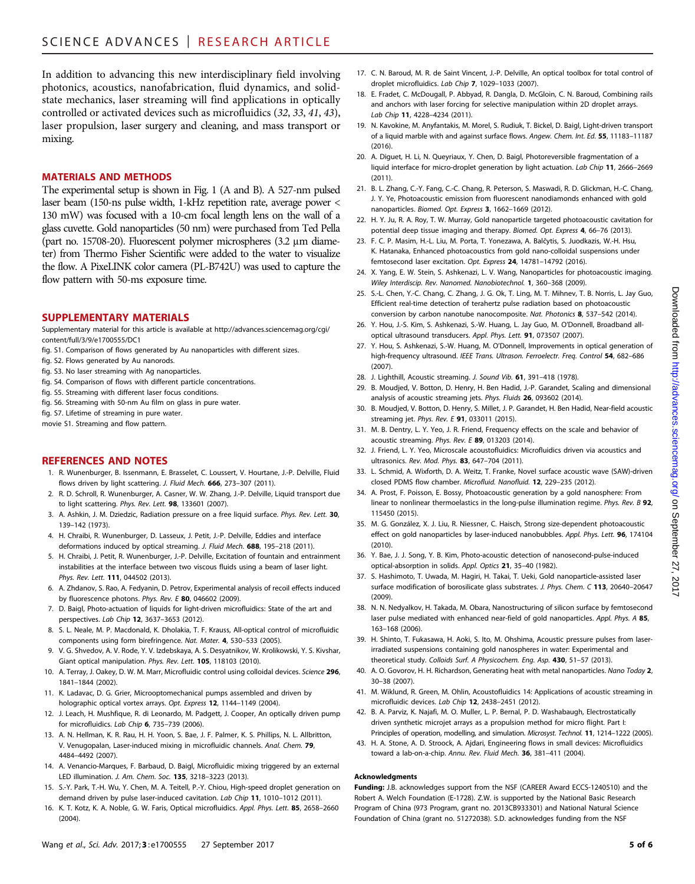In addition to advancing this new interdisciplinary field involving photonics, acoustics, nanofabrication, fluid dynamics, and solidstate mechanics, laser streaming will find applications in optically controlled or activated devices such as microfluidics (32, 33, 41, 43), laser propulsion, laser surgery and cleaning, and mass transport or mixing.

#### MATERIALS AND METHODS

The experimental setup is shown in Fig. 1 (A and B). A 527-nm pulsed laser beam (150-ns pulse width, 1-kHz repetition rate, average power < 130 mW) was focused with a 10-cm focal length lens on the wall of a glass cuvette. Gold nanoparticles (50 nm) were purchased from Ted Pella (part no. 15708-20). Fluorescent polymer microspheres  $(3.2 \mu m)$  diameter) from Thermo Fisher Scientific were added to the water to visualize the flow. A PixeLINK color camera (PL-B742U) was used to capture the flow pattern with 50-ms exposure time.

#### SUPPLEMENTARY MATERIALS

Supplementary material for this article is available at [http://advances.sciencemag.org/cgi/](http://advances.sciencemag.org/cgi/content/full/3/9/e1700555/DC1) [content/full/3/9/e1700555/DC1](http://advances.sciencemag.org/cgi/content/full/3/9/e1700555/DC1)

- fig. S1. Comparison of flows generated by Au nanoparticles with different sizes.
- fig. S2. Flows generated by Au nanorods.
- fig. S3. No laser streaming with Ag nanoparticles.
- fig. S4. Comparison of flows with different particle concentrations.
- fig. S5. Streaming with different laser focus conditions.
- fig. S6. Streaming with 50-nm Au film on glass in pure water.
- fig. S7. Lifetime of streaming in pure water.
- movie S1. Streaming and flow pattern.

#### REFERENCES AND NOTES

- 1. R. Wunenburger, B. Issenmann, E. Brasselet, C. Loussert, V. Hourtane, J.-P. Delville, Fluid flows driven by light scattering. J. Fluid Mech. 666, 273-307 (2011).
- 2. R. D. Schroll, R. Wunenburger, A. Casner, W. W. Zhang, J.-P. Delville, Liquid transport due to light scattering. Phys. Rev. Lett. 98, 133601 (2007).
- 3. A. Ashkin, J. M. Dziedzic, Radiation pressure on a free liquid surface. Phys. Rev. Lett. 30, 139–142 (1973).
- 4. H. Chraibi, R. Wunenburger, D. Lasseux, J. Petit, J.-P. Delville, Eddies and interface deformations induced by optical streaming. J. Fluid Mech. 688, 195-218 (2011).
- 5. H. Chraibi, J. Petit, R. Wunenburger, J.-P. Delville, Excitation of fountain and entrainment instabilities at the interface between two viscous fluids using a beam of laser light. Phys. Rev. Lett. 111, 044502 (2013).
- 6. A. Zhdanov, S. Rao, A. Fedyanin, D. Petrov, Experimental analysis of recoil effects induced by fluorescence photons. Phys. Rev. E 80, 046602 (2009).
- 7. D. Baigl, Photo-actuation of liquids for light-driven microfluidics: State of the art and perspectives. Lab Chip 12, 3637–3653 (2012).
- 8. S. L. Neale, M. P. Macdonald, K. Dholakia, T. F. Krauss, All-optical control of microfluidic components using form birefringence. Nat. Mater. 4, 530–533 (2005).
- 9. V. G. Shvedov, A. V. Rode, Y. V. Izdebskaya, A. S. Desyatnikov, W. Krolikowski, Y. S. Kivshar, Giant optical manipulation. Phys. Rev. Lett. 105, 118103 (2010).
- 10. A. Terray, J. Oakey, D. W. M. Marr, Microfluidic control using colloidal devices. Science 296, 1841–1844 (2002).
- 11. K. Ladavac, D. G. Grier, Microoptomechanical pumps assembled and driven by holographic optical vortex arrays. Opt. Express 12, 1144–1149 (2004).
- 12. J. Leach, H. Mushfique, R. di Leonardo, M. Padgett, J. Cooper, An optically driven pump for microfluidics. Lab Chip 6, 735-739 (2006).
- 13. A. N. Hellman, K. R. Rau, H. H. Yoon, S. Bae, J. F. Palmer, K. S. Phillips, N. L. Allbritton, V. Venugopalan, Laser-induced mixing in microfluidic channels. Anal. Chem. 79, 4484–4492 (2007).
- 14. A. Venancio-Marques, F. Barbaud, D. Baigl, Microfluidic mixing triggered by an external LED illumination. J. Am. Chem. Soc. 135, 3218–3223 (2013).
- 15. S.-Y. Park, T.-H. Wu, Y. Chen, M. A. Teitell, P.-Y. Chiou, High-speed droplet generation on demand driven by pulse laser-induced cavitation. Lab Chip 11, 1010-1012 (2011).
- 16. K. T. Kotz, K. A. Noble, G. W. Faris, Optical microfluidics. Appl. Phys. Lett. 85, 2658–2660 (2004).
- 17. C. N. Baroud, M. R. de Saint Vincent, J.-P. Delville, An optical toolbox for total control of droplet microfluidics. Lab Chip 7, 1029–1033 (2007).
- 18. E. Fradet, C. McDougall, P. Abbyad, R. Dangla, D. McGloin, C. N. Baroud, Combining rails and anchors with laser forcing for selective manipulation within 2D droplet arrays. Lab Chip 11, 4228–4234 (2011).
- 19. N. Kavokine, M. Anyfantakis, M. Morel, S. Rudiuk, T. Bickel, D. Baigl, Light-driven transport of a liquid marble with and against surface flows. Angew. Chem. Int. Ed. 55, 11183–11187  $(2016)$
- 20. A. Diguet, H. Li, N. Queyriaux, Y. Chen, D. Baigl, Photoreversible fragmentation of a liquid interface for micro-droplet generation by light actuation. Lab Chip 11, 2666–2669  $(2011)$
- 21. B. L. Zhang, C.-Y. Fang, C.-C. Chang, R. Peterson, S. Maswadi, R. D. Glickman, H.-C. Chang, J. Y. Ye, Photoacoustic emission from fluorescent nanodiamonds enhanced with gold nanoparticles. Biomed. Opt. Express 3, 1662–1669 (2012).
- 22. H. Y. Ju, R. A. Roy, T. W. Murray, Gold nanoparticle targeted photoacoustic cavitation for potential deep tissue imaging and therapy. Biomed. Opt. Express 4, 66–76 (2013).
- 23. F. C. P. Masim, H.-L. Liu, M. Porta, T. Yonezawa, A. Balčytis, S. Juodkazis, W.-H. Hsu, K. Hatanaka, Enhanced photoacoustics from gold nano-colloidal suspensions under femtosecond laser excitation. Opt. Express 24, 14781–14792 (2016).
- 24. X. Yang, E. W. Stein, S. Ashkenazi, L. V. Wang, Nanoparticles for photoacoustic imaging. Wiley Interdiscip. Rev. Nanomed. Nanobiotechnol. 1, 360–368 (2009).
- 25. S.-L. Chen, Y.-C. Chang, C. Zhang, J. G. Ok, T. Ling, M. T. Mihnev, T. B. Norris, L. Jay Guo, Efficient real-time detection of terahertz pulse radiation based on photoacoustic conversion by carbon nanotube nanocomposite. Nat. Photonics 8, 537–542 (2014).
- 26. Y. Hou, J.-S. Kim, S. Ashkenazi, S.-W. Huang, L. Jay Guo, M. O'Donnell, Broadband alloptical ultrasound transducers. Appl. Phys. Lett. 91, 073507 (2007).
- 27. Y. Hou, S. Ashkenazi, S.-W. Huang, M. O'Donnell, Improvements in optical generation of high-frequency ultrasound. IEEE Trans. Ultrason. Ferroelectr. Freq. Control 54, 682-686 (2007).
- 28. J. Lighthill, Acoustic streaming. J. Sound Vib. 61, 391-418 (1978).
- 29. B. Moudjed, V. Botton, D. Henry, H. Ben Hadid, J.-P. Garandet, Scaling and dimensional analysis of acoustic streaming jets. Phys. Fluids 26, 093602 (2014).
- 30. B. Moudjed, V. Botton, D. Henry, S. Millet, J. P. Garandet, H. Ben Hadid, Near-field acoustic streaming jet. Phys. Rev. E 91, 033011 (2015).
- 31. M. B. Dentry, L. Y. Yeo, J. R. Friend, Frequency effects on the scale and behavior of acoustic streaming. Phys. Rev. E 89, 013203 (2014).
- 32. J. Friend, L. Y. Yeo, Microscale acoustofluidics: Microfluidics driven via acoustics and ultrasonics. Rev. Mod. Phys. 83, 647–704 (2011).
- 33. L. Schmid, A. Wixforth, D. A. Weitz, T. Franke, Novel surface acoustic wave (SAW)-driven closed PDMS flow chamber. Microfluid. Nanofluid. 12, 229–235 (2012).
- 34. A. Prost, F. Poisson, E. Bossy, Photoacoustic generation by a gold nanosphere: From linear to nonlinear thermoelastics in the long-pulse illumination regime. Phys. Rev. B 92, 115450 (2015).
- 35. M. G. González, X. J. Liu, R. Niessner, C. Haisch, Strong size-dependent photoacoustic effect on gold nanoparticles by laser-induced nanobubbles. Appl. Phys. Lett. 96, 174104 (2010).
- 36. Y. Bae, J. J. Song, Y. B. Kim, Photo-acoustic detection of nanosecond-pulse-induced optical-absorption in solids. Appl. Optics 21, 35–40 (1982).
- 37. S. Hashimoto, T. Uwada, M. Hagiri, H. Takai, T. Ueki, Gold nanoparticle-assisted laser surface modification of borosilicate glass substrates. J. Phys. Chem. C 113, 20640–20647 (2009).
- 38. N. N. Nedyalkov, H. Takada, M. Obara, Nanostructuring of silicon surface by femtosecond laser pulse mediated with enhanced near-field of gold nanoparticles. Appl. Phys. A 85, 163–168 (2006).
- 39. H. Shinto, T. Fukasawa, H. Aoki, S. Ito, M. Ohshima, Acoustic pressure pulses from laserirradiated suspensions containing gold nanospheres in water: Experimental and theoretical study. Colloids Surf. A Physicochem. Eng. Asp. 430, 51-57 (2013).
- 40. A. O. Govorov, H. H. Richardson, Generating heat with metal nanoparticles. Nano Today 2, 30–38 (2007).
- 41. M. Wiklund, R. Green, M. Ohlin, Acoustofluidics 14: Applications of acoustic streaming in microfluidic devices. Lab Chip 12, 2438–2451 (2012).
- 42. B. A. Parviz, K. Najafi, M. O. Muller, L. P. Bernal, P. D. Washabaugh, Electrostatically driven synthetic microjet arrays as a propulsion method for micro flight. Part I: Principles of operation, modelling, and simulation. Microsyst. Technol. 11, 1214–1222 (2005).
- 43. H. A. Stone, A. D. Stroock, A. Ajdari, Engineering flows in small devices: Microfluidics toward a lab-on-a-chip. Annu. Rev. Fluid Mech. 36, 381–411 (2004).

#### Acknowledgments

Funding: J.B. acknowledges support from the NSF (CAREER Award ECCS-1240510) and the Robert A. Welch Foundation (E-1728). Z.W. is supported by the National Basic Research Program of China (973 Program, grant no. 2013CB933301) and National Natural Science Foundation of China (grant no. 51272038). S.D. acknowledges funding from the NSF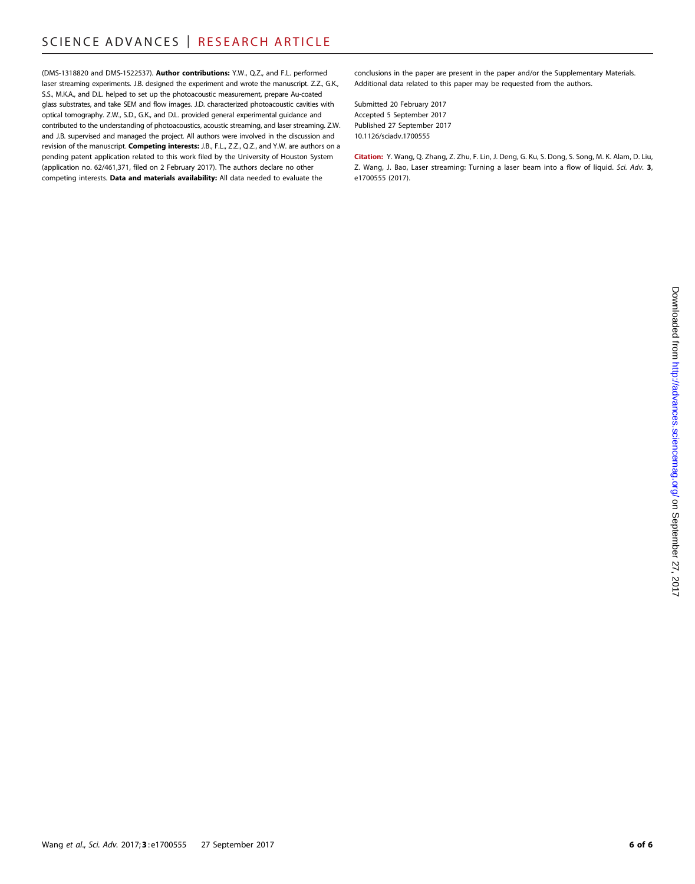(DMS-1318820 and DMS-1522537). Author contributions: Y.W., Q.Z., and F.L. performed laser streaming experiments. J.B. designed the experiment and wrote the manuscript. Z.Z., G.K., S.S., M.K.A., and D.L. helped to set up the photoacoustic measurement, prepare Au-coated glass substrates, and take SEM and flow images. J.D. characterized photoacoustic cavities with optical tomography. Z.W., S.D., G.K., and D.L. provided general experimental guidance and contributed to the understanding of photoacoustics, acoustic streaming, and laser streaming. Z.W. and J.B. supervised and managed the project. All authors were involved in the discussion and revision of the manuscript. Competing interests: J.B., F.L., Z.Z., Q.Z., and Y.W. are authors on a pending patent application related to this work filed by the University of Houston System (application no. 62/461,371, filed on 2 February 2017). The authors declare no other competing interests. Data and materials availability: All data needed to evaluate the

conclusions in the paper are present in the paper and/or the Supplementary Materials. Additional data related to this paper may be requested from the authors.

Submitted 20 February 2017 Accepted 5 September 2017 Published 27 September 2017 10.1126/sciadv.1700555

Citation: Y. Wang, Q. Zhang, Z. Zhu, F. Lin, J. Deng, G. Ku, S. Dong, S. Song, M. K. Alam, D. Liu, Z. Wang, J. Bao, Laser streaming: Turning a laser beam into a flow of liquid. Sci. Adv. 3, e1700555 (2017).